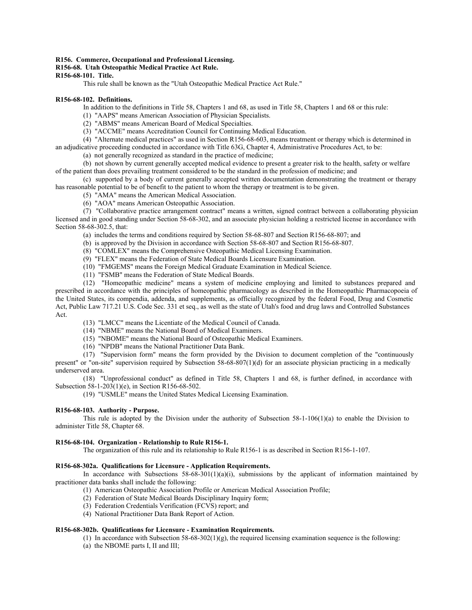### **R156. Commerce, Occupational and Professional Licensing.**

# **R156-68. Utah Osteopathic Medical Practice Act Rule.**

# **R156-68-101. Title.**

This rule shall be known as the "Utah Osteopathic Medical Practice Act Rule."

#### **R156-68-102. Definitions.**

In addition to the definitions in Title 58, Chapters 1 and 68, as used in Title 58, Chapters 1 and 68 or this rule:

- (1) "AAPS" means American Association of Physician Specialists.
- (2) "ABMS" means American Board of Medical Specialties.
- (3) "ACCME" means Accreditation Council for Continuing Medical Education.

(4) "Alternate medical practices" as used in Section R156-68-603, means treatment or therapy which is determined in an adjudicative proceeding conducted in accordance with Title 63G, Chapter 4, Administrative Procedures Act, to be:

(a) not generally recognized as standard in the practice of medicine;

(b) not shown by current generally accepted medical evidence to present a greater risk to the health, safety or welfare of the patient than does prevailing treatment considered to be the standard in the profession of medicine; and

(c) supported by a body of current generally accepted written documentation demonstrating the treatment or therapy has reasonable potential to be of benefit to the patient to whom the therapy or treatment is to be given.

- (5) "AMA" means the American Medical Association.
- (6) "AOA" means American Osteopathic Association.

(7) "Collaborative practice arrangement contract" means a written, signed contract between a collaborating physician licensed and in good standing under Section 58-68-302, and an associate physician holding a restricted license in accordance with Section 58-68-302.5, that:

(a) includes the terms and conditions required by Section 58-68-807 and Section R156-68-807; and

(b) is approved by the Division in accordance with Section 58-68-807 and Section R156-68-807.

(8) "COMLEX" means the Comprehensive Osteopathic Medical Licensing Examination.

(9) "FLEX" means the Federation of State Medical Boards Licensure Examination.

- (10) "FMGEMS" means the Foreign Medical Graduate Examination in Medical Science.
- (11) "FSMB" means the Federation of State Medical Boards.

(12) "Homeopathic medicine" means a system of medicine employing and limited to substances prepared and prescribed in accordance with the principles of homeopathic pharmacology as described in the Homeopathic Pharmacopoeia of the United States, its compendia, addenda, and supplements, as officially recognized by the federal Food, Drug and Cosmetic Act, Public Law 717.21 U.S. Code Sec. 331 et seq., as well as the state of Utah's food and drug laws and Controlled Substances Act.

- (13) "LMCC" means the Licentiate of the Medical Council of Canada.
- (14) "NBME" means the National Board of Medical Examiners.
- (15) "NBOME" means the National Board of Osteopathic Medical Examiners.
- (16) "NPDB" means the National Practitioner Data Bank.

(17) "Supervision form" means the form provided by the Division to document completion of the "continuously

present" or "on-site" supervision required by Subsection 58-68-807(1)(d) for an associate physician practicing in a medically underserved area.

(18) "Unprofessional conduct" as defined in Title 58, Chapters 1 and 68, is further defined, in accordance with Subsection 58-1-203(1)(e), in Section R156-68-502.

(19) "USMLE" means the United States Medical Licensing Examination.

### **R156-68-103. Authority - Purpose.**

This rule is adopted by the Division under the authority of Subsection 58-1-106(1)(a) to enable the Division to administer Title 58, Chapter 68.

#### **R156-68-104. Organization - Relationship to Rule R156-1.**

The organization of this rule and its relationship to Rule R156-1 is as described in Section R156-1-107.

### **R156-68-302a. Qualifications for Licensure - Application Requirements.**

In accordance with Subsections  $58-68-301(1)(a)(i)$ , submissions by the applicant of information maintained by practitioner data banks shall include the following:

- (1) American Osteopathic Association Profile or American Medical Association Profile;
- (2) Federation of State Medical Boards Disciplinary Inquiry form;
- (3) Federation Credentials Verification (FCVS) report; and
- (4) National Practitioner Data Bank Report of Action.

# **R156-68-302b. Qualifications for Licensure - Examination Requirements.**

(1) In accordance with Subsection  $58-68-302(1)(g)$ , the required licensing examination sequence is the following:

(a) the NBOME parts I, II and III;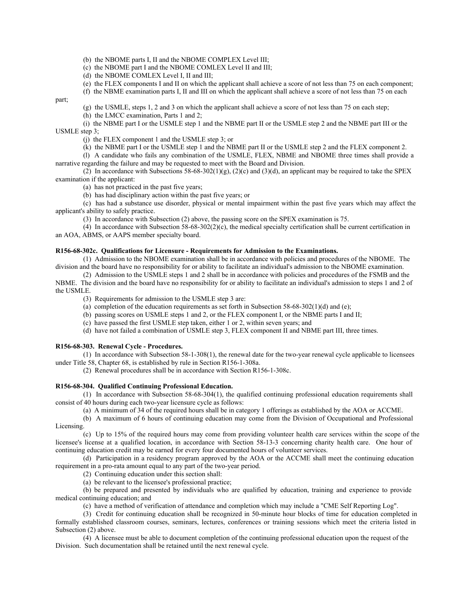(b) the NBOME parts I, II and the NBOME COMPLEX Level III;

(c) the NBOME part I and the NBOME COMLEX Level II and III;

(d) the NBOME COMLEX Level I, II and III;

(e) the FLEX components I and II on which the applicant shall achieve a score of not less than 75 on each component;

(f) the NBME examination parts I, II and III on which the applicant shall achieve a score of not less than 75 on each

part;

(g) the USMLE, steps 1, 2 and 3 on which the applicant shall achieve a score of not less than 75 on each step;

(h) the LMCC examination, Parts 1 and 2;

(i) the NBME part I or the USMLE step 1 and the NBME part II or the USMLE step 2 and the NBME part III or the USMLE step 3;

(j) the FLEX component 1 and the USMLE step 3; or

(k) the NBME part I or the USMLE step 1 and the NBME part II or the USMLE step 2 and the FLEX component 2.

(l) A candidate who fails any combination of the USMLE, FLEX, NBME and NBOME three times shall provide a narrative regarding the failure and may be requested to meet with the Board and Division.

(2) In accordance with Subsections 58-68-302(1)(g), (2)(c) and (3)(d), an applicant may be required to take the SPEX examination if the applicant:

(a) has not practiced in the past five years;

(b) has had disciplinary action within the past five years; or

(c) has had a substance use disorder, physical or mental impairment within the past five years which may affect the applicant's ability to safely practice.

(3) In accordance with Subsection (2) above, the passing score on the SPEX examination is 75.

(4) In accordance with Subsection  $58-68-302(2)$ (c), the medical specialty certification shall be current certification in an AOA, ABMS, or AAPS member specialty board.

#### **R156-68-302c. Qualifications for Licensure - Requirements for Admission to the Examinations.**

(1) Admission to the NBOME examination shall be in accordance with policies and procedures of the NBOME. The division and the board have no responsibility for or ability to facilitate an individual's admission to the NBOME examination.

(2) Admission to the USMLE steps 1 and 2 shall be in accordance with policies and procedures of the FSMB and the NBME. The division and the board have no responsibility for or ability to facilitate an individual's admission to steps 1 and 2 of the USMLE.

(3) Requirements for admission to the USMLE step 3 are:

(a) completion of the education requirements as set forth in Subsection  $58-68-302(1)(d)$  and (e);

(b) passing scores on USMLE steps 1 and 2, or the FLEX component I, or the NBME parts I and II;

(c) have passed the first USMLE step taken, either 1 or 2, within seven years; and

(d) have not failed a combination of USMLE step 3, FLEX component II and NBME part III, three times.

#### **R156-68-303. Renewal Cycle - Procedures.**

(1) In accordance with Subsection 58-1-308(1), the renewal date for the two-year renewal cycle applicable to licensees under Title 58, Chapter 68, is established by rule in Section R156-1-308a.

(2) Renewal procedures shall be in accordance with Section R156-1-308c.

#### **R156-68-304. Qualified Continuing Professional Education.**

(1) In accordance with Subsection 58-68-304(1), the qualified continuing professional education requirements shall consist of 40 hours during each two-year licensure cycle as follows:

(a) A minimum of 34 of the required hours shall be in category 1 offerings as established by the AOA or ACCME.

(b) A maximum of 6 hours of continuing education may come from the Division of Occupational and Professional Licensing.

(c) Up to 15% of the required hours may come from providing volunteer health care services within the scope of the licensee's license at a qualified location, in accordance with Section 58-13-3 concerning charity health care. One hour of continuing education credit may be earned for every four documented hours of volunteer services.

(d) Participation in a residency program approved by the AOA or the ACCME shall meet the continuing education requirement in a pro-rata amount equal to any part of the two-year period.

(2) Continuing education under this section shall:

(a) be relevant to the licensee's professional practice;

(b) be prepared and presented by individuals who are qualified by education, training and experience to provide medical continuing education; and

(c) have a method of verification of attendance and completion which may include a "CME Self Reporting Log".

(3) Credit for continuing education shall be recognized in 50-minute hour blocks of time for education completed in formally established classroom courses, seminars, lectures, conferences or training sessions which meet the criteria listed in Subsection (2) above.

(4) A licensee must be able to document completion of the continuing professional education upon the request of the Division. Such documentation shall be retained until the next renewal cycle.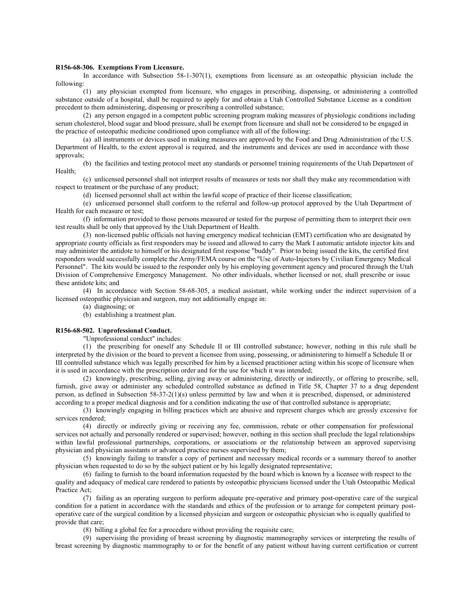#### **R156-68-306. Exemptions From Licensure.**

In accordance with Subsection 58-1-307(1), exemptions from licensure as an osteopathic physician include the following:

(1) any physician exempted from licensure, who engages in prescribing, dispensing, or administering a controlled substance outside of a hospital, shall be required to apply for and obtain a Utah Controlled Substance License as a condition precedent to them administering, dispensing or prescribing a controlled substance;

(2) any person engaged in a competent public screening program making measures of physiologic conditions including serum cholesterol, blood sugar and blood pressure, shall be exempt from licensure and shall not be considered to be engaged in the practice of osteopathic medicine conditioned upon compliance with all of the following:

(a) all instruments or devices used in making measures are approved by the Food and Drug Administration of the U.S. Department of Health, to the extent approval is required, and the instruments and devices are used in accordance with those approvals;

(b) the facilities and testing protocol meet any standards or personnel training requirements of the Utah Department of Health;

(c) unlicensed personnel shall not interpret results of measures or tests nor shall they make any recommendation with respect to treatment or the purchase of any product;

(d) licensed personnel shall act within the lawful scope of practice of their license classification;

(e) unlicensed personnel shall conform to the referral and follow-up protocol approved by the Utah Department of Health for each measure or test;

(f) information provided to those persons measured or tested for the purpose of permitting them to interpret their own test results shall be only that approved by the Utah Department of Health.

(3) non-licensed public officials not having emergency medical technician (EMT) certification who are designated by appropriate county officials as first responders may be issued and allowed to carry the Mark I automatic antidote injector kits and may administer the antidote to himself or his designated first response "buddy". Prior to being issued the kits, the certified first responders would successfully complete the Army/FEMA course on the "Use of Auto-Injectors by Civilian Emergency Medical Personnel". The kits would be issued to the responder only by his employing government agency and procured through the Utah Division of Comprehensive Emergency Management. No other individuals, whether licensed or not, shall prescribe or issue these antidote kits; and

(4) In accordance with Section 58-68-305, a medical assistant, while working under the indirect supervision of a licensed osteopathic physician and surgeon, may not additionally engage in:

(a) diagnosing; or

(b) establishing a treatment plan.

### **R156-68-502. Unprofessional Conduct.**

"Unprofessional conduct" includes:

(1) the prescribing for oneself any Schedule II or III controlled substance; however, nothing in this rule shall be interpreted by the division or the board to prevent a licensee from using, possessing, or administering to himself a Schedule II or III controlled substance which was legally prescribed for him by a licensed practitioner acting within his scope of licensure when it is used in accordance with the prescription order and for the use for which it was intended;

(2) knowingly, prescribing, selling, giving away or administering, directly or indirectly, or offering to prescribe, sell, furnish, give away or administer any scheduled controlled substance as defined in Title 58, Chapter 37 to a drug dependent person, as defined in Subsection 58-37-2(1)(s) unless permitted by law and when it is prescribed, dispensed, or administered according to a proper medical diagnosis and for a condition indicating the use of that controlled substance is appropriate;

(3) knowingly engaging in billing practices which are abusive and represent charges which are grossly excessive for services rendered;

(4) directly or indirectly giving or receiving any fee, commission, rebate or other compensation for professional services not actually and personally rendered or supervised; however, nothing in this section shall preclude the legal relationships within lawful professional partnerships, corporations, or associations or the relationship between an approved supervising physician and physician assistants or advanced practice nurses supervised by them;

(5) knowingly failing to transfer a copy of pertinent and necessary medical records or a summary thereof to another physician when requested to do so by the subject patient or by his legally designated representative;

(6) failing to furnish to the board information requested by the board which is known by a licensee with respect to the quality and adequacy of medical care rendered to patients by osteopathic physicians licensed under the Utah Osteopathic Medical Practice Act;

(7) failing as an operating surgeon to perform adequate pre-operative and primary post-operative care of the surgical condition for a patient in accordance with the standards and ethics of the profession or to arrange for competent primary postoperative care of the surgical condition by a licensed physician and surgeon or osteopathic physician who is equally qualified to provide that care;

(8) billing a global fee for a procedure without providing the requisite care;

(9) supervising the providing of breast screening by diagnostic mammography services or interpreting the results of breast screening by diagnostic mammography to or for the benefit of any patient without having current certification or current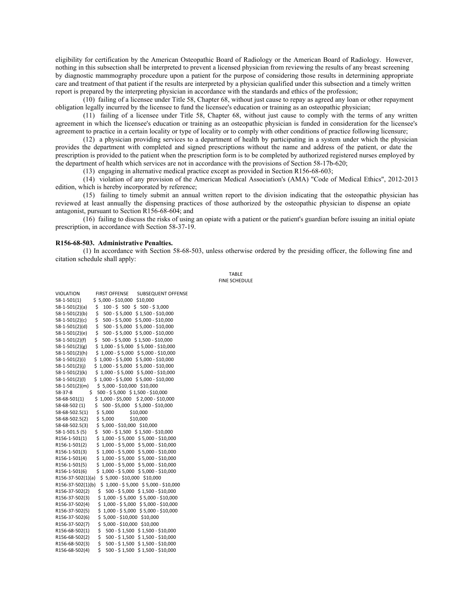eligibility for certification by the American Osteopathic Board of Radiology or the American Board of Radiology. However, nothing in this subsection shall be interpreted to prevent a licensed physician from reviewing the results of any breast screening by diagnostic mammography procedure upon a patient for the purpose of considering those results in determining appropriate care and treatment of that patient if the results are interpreted by a physician qualified under this subsection and a timely written report is prepared by the interpreting physician in accordance with the standards and ethics of the profession;

(10) failing of a licensee under Title 58, Chapter 68, without just cause to repay as agreed any loan or other repayment obligation legally incurred by the licensee to fund the licensee's education or training as an osteopathic physician;

(11) failing of a licensee under Title 58, Chapter 68, without just cause to comply with the terms of any written agreement in which the licensee's education or training as an osteopathic physician is funded in consideration for the licensee's agreement to practice in a certain locality or type of locality or to comply with other conditions of practice following licensure;

(12) a physician providing services to a department of health by participating in a system under which the physician provides the department with completed and signed prescriptions without the name and address of the patient, or date the prescription is provided to the patient when the prescription form is to be completed by authorized registered nurses employed by the department of health which services are not in accordance with the provisions of Section 58-17b-620;

(13) engaging in alternative medical practice except as provided in Section R156-68-603;

(14) violation of any provision of the American Medical Association's (AMA) "Code of Medical Ethics", 2012-2013 edition, which is hereby incorporated by reference;

(15) failing to timely submit an annual written report to the division indicating that the osteopathic physician has reviewed at least annually the dispensing practices of those authorized by the osteopathic physician to dispense an opiate antagonist, pursuant to Section R156-68-604; and

(16) failing to discuss the risks of using an opiate with a patient or the patient's guardian before issuing an initial opiate prescription, in accordance with Section 58-37-19.

#### **R156-68-503. Administrative Penalties.**

(1) In accordance with Section 58-68-503, unless otherwise ordered by the presiding officer, the following fine and citation schedule shall apply:

> TABLE FINE SCHEDULE

| <b>VIOLATION</b><br><b>FIRST OFFENSE</b>          | <b>SUBSEQUENT OFFENSE</b>           |
|---------------------------------------------------|-------------------------------------|
| $$5,000 - $10,000$<br>58-1-501(1)                 | \$10,000                            |
| $100 - $500$<br>58-1-501(2)(a)<br>\$<br>\$        | $500 - $3,000$                      |
| \$<br>$500 - $5,000$<br>58-1-501(2)(b)            | \$1,500 - \$10,000                  |
| \$<br>$500 - $5,000$<br>58-1-501(2)(c)            | \$5,000 - \$10,000                  |
| \$<br>500 - \$ 5,000<br>58-1-501(2)(d)            | \$5,000 - \$10,000                  |
| \$<br>$500 - $5,000$<br>58-1-501(2)(e)            | \$5,000 - \$10,000                  |
| \$<br>500 - \$5,000<br>58-1-501(2)(f)             | \$1,500 - \$10,000                  |
| \$<br>$1,000 - $5,000$<br>58-1-501(2)(g)          | $$5,000 - $10,000$                  |
| \$<br>$1,000 - $5,000$<br>58-1-501(2)(h)          | \$5,000 - \$10,000                  |
| \$<br>1,000 - \$5,000<br>58-1-501(2)(i)           | \$5,000 - \$10,000                  |
| \$<br>1,000 - \$5,000<br>58-1-501(2)(j)           | $$5,000 - $10,000$                  |
| $1,000 - $5,000$<br>58-1-501(2)(k)<br>\$          | \$5,000 - \$10,000                  |
| $$1,000 - $5,000$<br>58-1-501(2)(l)               | \$5,000 - \$10,000                  |
| \$5,000 - \$10,000<br>58-1-501(2)(m)              | \$10,000                            |
| \$<br>500 - \$5,000 \$1,500 - \$10,000<br>58-37-8 |                                     |
| 58-68-501(1)<br>\$                                | 1,000 - \$5,000 \$ 2,000 - \$10,000 |
| \$<br>500 - \$5,000<br>58-68-502 (1)              | \$5,000 - \$10,000                  |
| 58-68-502.5(1)<br>\$<br>5,000                     | \$10,000                            |
| \$<br>58-68-502.5(2)<br>5,000                     | \$10,000                            |
| \$<br>5,000 - \$10,000 \$10,000<br>58-68-502.5(3) |                                     |
| \$<br>58-1-501.5 (5)                              | 500 - \$1,500 \$1,500 - \$10,000    |
| R156-1-501(1)<br>\$                               | 1,000 - \$5,000 \$5,000 - \$10,000  |
| \$<br>R156-1-501(2)                               | 1,000 - \$5,000 \$5,000 - \$10,000  |
| \$<br>R156-1-501(3)                               | 1,000 - \$5,000 \$5,000 - \$10,000  |
| \$<br>R156-1-501(4)                               | 1,000 - \$5,000 \$5,000 - \$10,000  |
| \$<br>$1,000 - $5,000$<br>R156-1-501(5)           | \$5,000 - \$10,000                  |
| Ś<br>$1,000 - $5,000$<br>R156-1-501(6)            | \$5,000 - \$10,000                  |
| 5,000 - \$10,000<br>R156-37-502(1)(a)<br>\$       | \$10,000                            |
| $$1,000 - $5,000$<br>R156-37-502(1)(b)            | \$5,000 - \$10,000                  |
| 500 - \$5,000<br>R156-37-502(2)<br>\$             | \$1,500 - \$10,000                  |
| \$<br>$1,000 - $5,000$<br>R156-37-502(3)          | \$5,000 - \$10,000                  |
| \$<br>1,000 - \$5,000<br>R156-37-502(4)           | \$5,000 - \$10,000                  |
| \$<br>$1,000 - $5,000$<br>R156-37-502(5)          | \$5,000 - \$10,000                  |
| \$<br>5,000 - \$10,000<br>R156-37-502(6)          | \$10,000                            |
| \$<br>5,000 - \$10,000<br>R156-37-502(7)          | \$10,000                            |
| \$<br>R156-68-502(1)                              | 500 - \$1,500 \$1,500 - \$10,000    |
| \$<br>500 - \$1,500<br>R156-68-502(2)             | \$1,500 - \$10,000                  |
| \$<br>R156-68-502(3)                              | 500 - \$1,500 \$1,500 - \$10,000    |
| \$<br>500 - \$1,500<br>R156-68-502(4)             | \$1,500 - \$10,000                  |
|                                                   |                                     |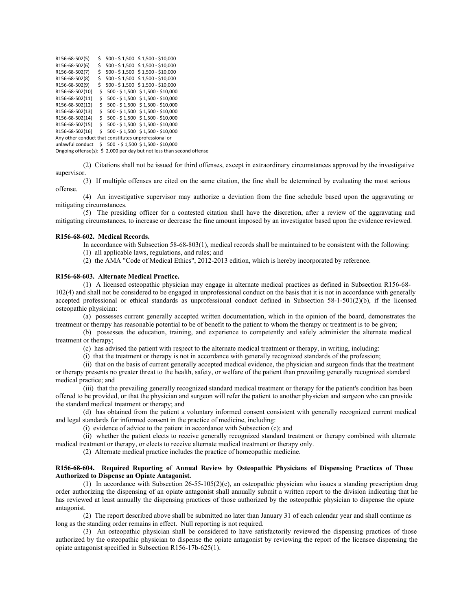| R156-68-502(5)                                                             | \$  | 500 - \$1,500 \$1,500 - \$10,000                     |  |
|----------------------------------------------------------------------------|-----|------------------------------------------------------|--|
| R156-68-502(6)                                                             | \$  | 500 - \$1,500 \$1,500 - \$10,000                     |  |
| R156-68-502(7)                                                             | \$  | 500 - \$1,500 \$1,500 - \$10,000                     |  |
| R156-68-502(8)                                                             | \$  | 500 - \$1,500 \$1,500 - \$10,000                     |  |
| R156-68-502(9)                                                             | Ś.  | 500 - \$1,500 \$1,500 - \$10,000                     |  |
| R156-68-502(10)                                                            | \$  | 500 - \$1,500 \$1,500 - \$10,000                     |  |
| R156-68-502(11)                                                            | \$  | 500 - \$1,500 \$1,500 - \$10,000                     |  |
| R156-68-502(12)                                                            | \$  | $500 - $1,500$ \$ 1,500 - \$10,000                   |  |
| R156-68-502(13)                                                            | \$  | $500 - $1,500$ \$ 1,500 - \$10,000                   |  |
| R156-68-502(14)                                                            | \$. | $500 - $1,500$ \$ 1,500 - \$10,000                   |  |
| R156-68-502(15)                                                            | \$. | 500 - \$1,500 \$1,500 - \$10,000                     |  |
| R156-68-502(16)                                                            | Ŝ.  | $500 - $1,500 \ $1,500 - $10,000$                    |  |
| Any other conduct that constitutes unprofessional or                       |     |                                                      |  |
|                                                                            |     | unlawful conduct \$ 500 - \$1,500 \$1,500 - \$10,000 |  |
| Ongoing offense(s): $\zeta$ 2,000 per day but not less than second offense |     |                                                      |  |

(2) Citations shall not be issued for third offenses, except in extraordinary circumstances approved by the investigative supervisor.

(3) If multiple offenses are cited on the same citation, the fine shall be determined by evaluating the most serious offense.

(4) An investigative supervisor may authorize a deviation from the fine schedule based upon the aggravating or mitigating circumstances.

(5) The presiding officer for a contested citation shall have the discretion, after a review of the aggravating and mitigating circumstances, to increase or decrease the fine amount imposed by an investigator based upon the evidence reviewed.

### **R156-68-602. Medical Records.**

In accordance with Subsection 58-68-803(1), medical records shall be maintained to be consistent with the following:

(1) all applicable laws, regulations, and rules; and

(2) the AMA "Code of Medical Ethics", 2012-2013 edition, which is hereby incorporated by reference.

#### **R156-68-603. Alternate Medical Practice.**

(1) A licensed osteopathic physician may engage in alternate medical practices as defined in Subsection R156-68- 102(4) and shall not be considered to be engaged in unprofessional conduct on the basis that it is not in accordance with generally accepted professional or ethical standards as unprofessional conduct defined in Subsection 58-1-501(2)(b), if the licensed osteopathic physician:

(a) possesses current generally accepted written documentation, which in the opinion of the board, demonstrates the treatment or therapy has reasonable potential to be of benefit to the patient to whom the therapy or treatment is to be given;

(b) possesses the education, training, and experience to competently and safely administer the alternate medical treatment or therapy;

(c) has advised the patient with respect to the alternate medical treatment or therapy, in writing, including:

(i) that the treatment or therapy is not in accordance with generally recognized standards of the profession;

(ii) that on the basis of current generally accepted medical evidence, the physician and surgeon finds that the treatment or therapy presents no greater threat to the health, safety, or welfare of the patient than prevailing generally recognized standard medical practice; and

(iii) that the prevailing generally recognized standard medical treatment or therapy for the patient's condition has been offered to be provided, or that the physician and surgeon will refer the patient to another physician and surgeon who can provide the standard medical treatment or therapy; and

(d) has obtained from the patient a voluntary informed consent consistent with generally recognized current medical and legal standards for informed consent in the practice of medicine, including:

(i) evidence of advice to the patient in accordance with Subsection (c); and

(ii) whether the patient elects to receive generally recognized standard treatment or therapy combined with alternate medical treatment or therapy, or elects to receive alternate medical treatment or therapy only.

(2) Alternate medical practice includes the practice of homeopathic medicine.

### **R156-68-604. Required Reporting of Annual Review by Osteopathic Physicians of Dispensing Practices of Those Authorized to Dispense an Opiate Antagonist.**

(1) In accordance with Subsection 26-55-105(2)(c), an osteopathic physician who issues a standing prescription drug order authorizing the dispensing of an opiate antagonist shall annually submit a written report to the division indicating that he has reviewed at least annually the dispensing practices of those authorized by the osteopathic physician to dispense the opiate antagonist.

(2) The report described above shall be submitted no later than January 31 of each calendar year and shall continue as long as the standing order remains in effect. Null reporting is not required.

(3) An osteopathic physician shall be considered to have satisfactorily reviewed the dispensing practices of those authorized by the osteopathic physician to dispense the opiate antagonist by reviewing the report of the licensee dispensing the opiate antagonist specified in Subsection R156-17b-625(1).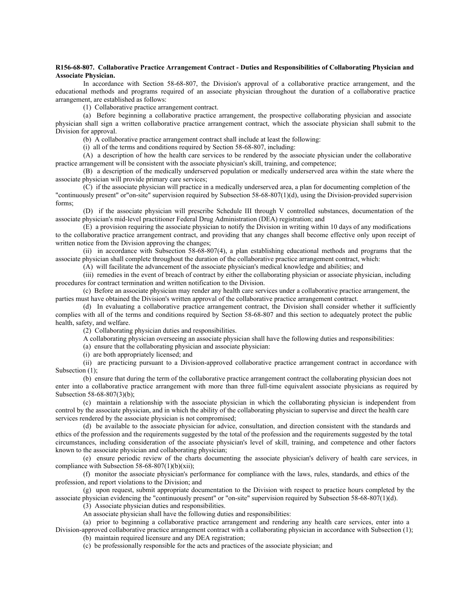#### **R156-68-807. Collaborative Practice Arrangement Contract - Duties and Responsibilities of Collaborating Physician and Associate Physician.**

In accordance with Section 58-68-807, the Division's approval of a collaborative practice arrangement, and the educational methods and programs required of an associate physician throughout the duration of a collaborative practice arrangement, are established as follows:

(1) Collaborative practice arrangement contract.

(a) Before beginning a collaborative practice arrangement, the prospective collaborating physician and associate physician shall sign a written collaborative practice arrangement contract, which the associate physician shall submit to the Division for approval.

(b) A collaborative practice arrangement contract shall include at least the following:

(i) all of the terms and conditions required by Section 58-68-807, including:

(A) a description of how the health care services to be rendered by the associate physician under the collaborative practice arrangement will be consistent with the associate physician's skill, training, and competence;

(B) a description of the medically underserved population or medically underserved area within the state where the associate physician will provide primary care services;

(C) if the associate physician will practice in a medically underserved area, a plan for documenting completion of the "continuously present" or"on-site" supervision required by Subsection 58-68-807(1)(d), using the Division-provided supervision forms;

(D) if the associate physician will prescribe Schedule III through V controlled substances, documentation of the associate physician's mid-level practitioner Federal Drug Administration (DEA) registration; and

(E) a provision requiring the associate physician to notify the Division in writing within 10 days of any modifications to the collaborative practice arrangement contract, and providing that any changes shall become effective only upon receipt of written notice from the Division approving the changes;

(ii) in accordance with Subsection 58-68-807(4), a plan establishing educational methods and programs that the associate physician shall complete throughout the duration of the collaborative practice arrangement contract, which:

(A) will facilitate the advancement of the associate physician's medical knowledge and abilities; and

(iii) remedies in the event of breach of contract by either the collaborating physician or associate physician, including procedures for contract termination and written notification to the Division.

(c) Before an associate physician may render any health care services under a collaborative practice arrangement, the parties must have obtained the Division's written approval of the collaborative practice arrangement contract.

(d) In evaluating a collaborative practice arrangement contract, the Division shall consider whether it sufficiently complies with all of the terms and conditions required by Section 58-68-807 and this section to adequately protect the public health, safety, and welfare.

(2) Collaborating physician duties and responsibilities.

A collaborating physician overseeing an associate physician shall have the following duties and responsibilities:

(a) ensure that the collaborating physician and associate physician:

(i) are both appropriately licensed; and

(ii) are practicing pursuant to a Division-approved collaborative practice arrangement contract in accordance with Subsection (1);

(b) ensure that during the term of the collaborative practice arrangement contract the collaborating physician does not enter into a collaborative practice arrangement with more than three full-time equivalent associate physicians as required by Subsection 58-68-807(3)(b);

(c) maintain a relationship with the associate physician in which the collaborating physician is independent from control by the associate physician, and in which the ability of the collaborating physician to supervise and direct the health care services rendered by the associate physician is not compromised;

(d) be available to the associate physician for advice, consultation, and direction consistent with the standards and ethics of the profession and the requirements suggested by the total of the profession and the requirements suggested by the total circumstances, including consideration of the associate physician's level of skill, training, and competence and other factors known to the associate physician and collaborating physician;

(e) ensure periodic review of the charts documenting the associate physician's delivery of health care services, in compliance with Subsection  $58-68-807(1)(b)(xii)$ ;

(f) monitor the associate physician's performance for compliance with the laws, rules, standards, and ethics of the profession, and report violations to the Division; and

(g) upon request, submit appropriate documentation to the Division with respect to practice hours completed by the associate physician evidencing the "continuously present" or "on-site" supervision required by Subsection 58-68-807(1)(d).

(3) Associate physician duties and responsibilities.

An associate physician shall have the following duties and responsibilities:

(a) prior to beginning a collaborative practice arrangement and rendering any health care services, enter into a Division-approved collaborative practice arrangement contract with a collaborating physician in accordance with Subsection (1);

(b) maintain required licensure and any DEA registration;

(c) be professionally responsible for the acts and practices of the associate physician; and